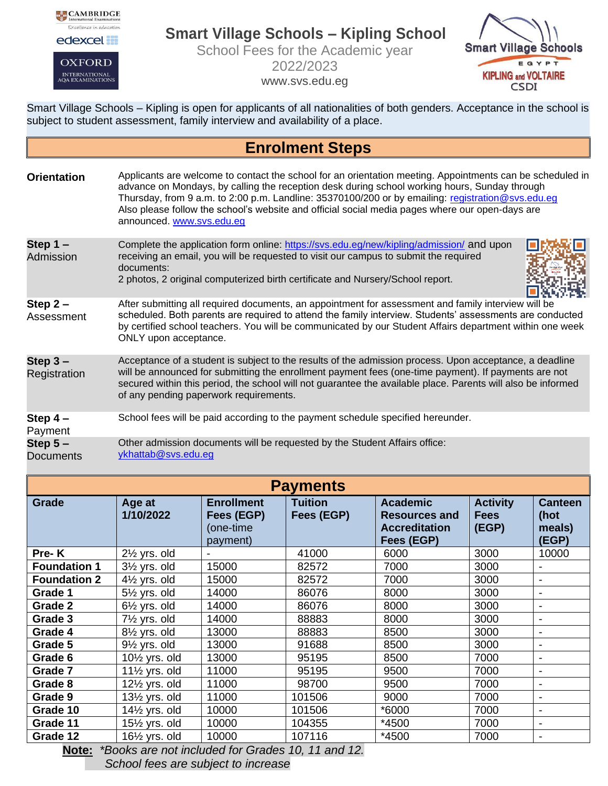

School Fees for the Academic year 2022/2023

[www.svs.edu.eg](http://www.svs.edu.eg/)



Smart Village Schools – Kipling is open for applicants of all nationalities of both genders. Acceptance in the school is subject to student assessment, family interview and availability of a place.

#### **Enrolment Steps**

**Orientation** Applicants are welcome to contact the school for an orientation meeting. Appointments can be scheduled in advance on Mondays, by calling the reception desk during school working hours, Sunday through Thursday, from 9 a.m. to 2:00 p.m. Landline: 35370100/200 or by emailing: [registration@svs.edu.eg](mailto:aserageldin@svs.edu.eg) Also please follow the school's website and official social media pages where our open-days are announced. [www.svs.edu.eg](http://www.svs.edu.eg/)

**Step 1 –** Admission Complete the application form online:<https://svs.edu.eg/new/kipling/admission/> and upon receiving an email, you will be requested to visit our campus to submit the required documents:



2 photos, 2 original computerized birth certificate and Nursery/School report.

**Step 2 –** Assessment After submitting all required documents, an appointment for assessment and family interview will be scheduled. Both parents are required to attend the family interview. Students' assessments are conducted by certified school teachers. You will be communicated by our Student Affairs department within one week ONLY upon acceptance.

**Step 3 – Registration** Acceptance of a student is subject to the results of the admission process. Upon acceptance, a deadline will be announced for submitting the enrollment payment fees (one-time payment). If payments are not secured within this period, the school will not guarantee the available place. Parents will also be informed of any pending paperwork requirements.

#### **Step 4 –** Payment School fees will be paid according to the payment schedule specified hereunder.

**Step 5 – Documents** Other admission documents will be requested by the Student Affairs office: [ykhattab@svs.edu.eg](mailto:ykhattab@svs.edu.eg)

| <b>Payments</b>     |                           |                                                          |                              |                                                                               |                                         |                                           |
|---------------------|---------------------------|----------------------------------------------------------|------------------------------|-------------------------------------------------------------------------------|-----------------------------------------|-------------------------------------------|
| <b>Grade</b>        | Age at<br>1/10/2022       | <b>Enrollment</b><br>Fees (EGP)<br>(one-time<br>payment) | <b>Tuition</b><br>Fees (EGP) | <b>Academic</b><br><b>Resources and</b><br><b>Accreditation</b><br>Fees (EGP) | <b>Activity</b><br><b>Fees</b><br>(EGP) | <b>Canteen</b><br>(hot<br>meals)<br>(EGP) |
| Pre-K               | $2\frac{1}{2}$ yrs. old   |                                                          | 41000                        | 6000                                                                          | 3000                                    | 10000                                     |
| <b>Foundation 1</b> | $3\frac{1}{2}$ yrs. old   | 15000                                                    | 82572                        | 7000                                                                          | 3000                                    |                                           |
| <b>Foundation 2</b> | $4\frac{1}{2}$ yrs. old   | 15000                                                    | 82572                        | 7000                                                                          | 3000                                    |                                           |
| Grade 1             | $5\frac{1}{2}$ yrs. old   | 14000                                                    | 86076                        | 8000                                                                          | 3000                                    |                                           |
| Grade 2             | $6\frac{1}{2}$ yrs. old   | 14000                                                    | 86076                        | 8000                                                                          | 3000                                    |                                           |
| Grade 3             | $7\frac{1}{2}$ yrs. old   | 14000                                                    | 88883                        | 8000                                                                          | 3000                                    |                                           |
| Grade 4             | $8\frac{1}{2}$ yrs. old   | 13000                                                    | 88883                        | 8500                                                                          | 3000                                    | $\overline{\phantom{a}}$                  |
| Grade 5             | $9\frac{1}{2}$ yrs. old   | 13000                                                    | 91688                        | 8500                                                                          | 3000                                    |                                           |
| Grade 6             | $10\frac{1}{2}$ yrs. old  | 13000                                                    | 95195                        | 8500                                                                          | 7000                                    |                                           |
| Grade 7             | 11 $\frac{1}{2}$ yrs. old | 11000                                                    | 95195                        | 9500                                                                          | 7000                                    | $\overline{\phantom{a}}$                  |
| Grade 8             | $12\frac{1}{2}$ yrs. old  | 11000                                                    | 98700                        | 9500                                                                          | 7000                                    |                                           |
| Grade 9             | $13\frac{1}{2}$ yrs. old  | 11000                                                    | 101506                       | 9000                                                                          | 7000                                    | $\blacksquare$                            |
| Grade 10            | $14\frac{1}{2}$ yrs. old  | 10000                                                    | 101506                       | *6000                                                                         | 7000                                    | $\overline{\phantom{a}}$                  |
| Grade 11            | $15\frac{1}{2}$ yrs. old  | 10000                                                    | 104355                       | *4500                                                                         | 7000                                    |                                           |
| Grade 12            | $16\frac{1}{2}$ yrs. old  | 10000                                                    | 107116                       | *4500                                                                         | 7000                                    |                                           |

**Note:** *\*Books are not included for Grades 10, 11 and 12. School fees are subject to increase*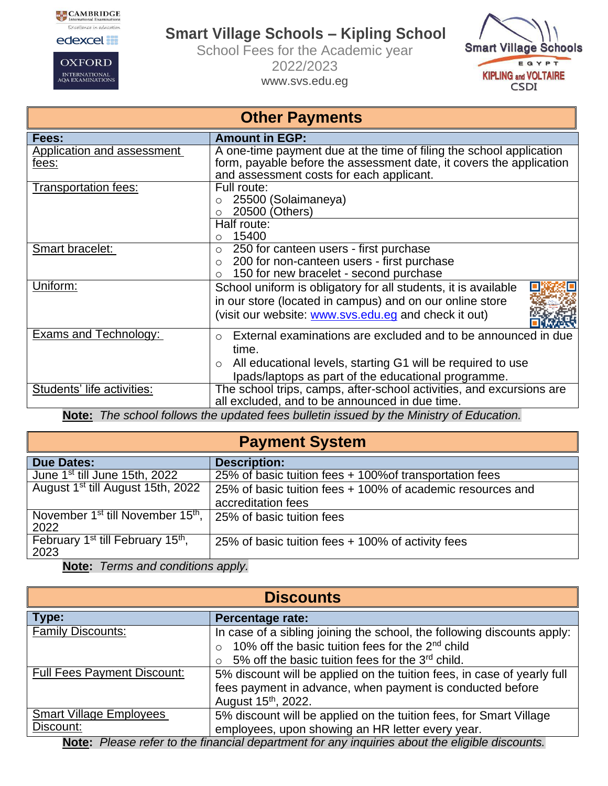

School Fees for the Academic year 2022/2023 [www.svs.edu.eg](http://www.svs.edu.eg/)



|                              | <b>Other Payments</b>                                                                                                  |
|------------------------------|------------------------------------------------------------------------------------------------------------------------|
| Fees:                        | <b>Amount in EGP:</b>                                                                                                  |
| Application and assessment   | A one-time payment due at the time of filing the school application                                                    |
| fees:                        | form, payable before the assessment date, it covers the application<br>and assessment costs for each applicant.        |
| <b>Transportation fees:</b>  | Full route:                                                                                                            |
|                              | 25500 (Solaimaneya)                                                                                                    |
|                              | 20500 (Others)<br>$\circ$                                                                                              |
|                              | Half route:                                                                                                            |
|                              | 15400<br>$\bigcirc$                                                                                                    |
| Smart bracelet:              | 250 for canteen users - first purchase                                                                                 |
|                              | 200 for non-canteen users - first purchase<br>$\circ$                                                                  |
|                              | 150 for new bracelet - second purchase                                                                                 |
| Uniform:                     | School uniform is obligatory for all students, it is available                                                         |
|                              | in our store (located in campus) and on our online store                                                               |
|                              | (visit our website: www.svs.edu.eg and check it out)                                                                   |
| <b>Exams and Technology:</b> | External examinations are excluded and to be announced in due<br>$\circ$                                               |
|                              | time.                                                                                                                  |
|                              | All educational levels, starting G1 will be required to use<br>$\circ$                                                 |
|                              | Ipads/laptops as part of the educational programme.                                                                    |
| Students' life activities:   | The school trips, camps, after-school activities, and excursions are<br>all excluded, and to be announced in due time. |
|                              |                                                                                                                        |

**Note:** *The school follows the updated fees bulletin issued by the Ministry of Education.*

# **Payment System**

| <b>Due Dates:</b>                                                 | <b>Description:</b>                                        |
|-------------------------------------------------------------------|------------------------------------------------------------|
| June 1 <sup>st</sup> till June 15th, 2022                         | 25% of basic tuition fees + 100% of transportation fees    |
| August 1 <sup>st</sup> till August 15th, 2022                     | 25% of basic tuition fees + 100% of academic resources and |
|                                                                   | accreditation fees                                         |
| November 1 <sup>st</sup> till November 15 <sup>th</sup> ,<br>2022 | 25% of basic tuition fees                                  |
| February 1 <sup>st</sup> till February 15 <sup>th</sup> ,<br>2023 | 25% of basic tuition fees + 100% of activity fees          |

**Note:** *Terms and conditions apply.*

| <b>Discounts</b>                                                                               |                                                                         |  |
|------------------------------------------------------------------------------------------------|-------------------------------------------------------------------------|--|
| Type:                                                                                          | <b>Percentage rate:</b>                                                 |  |
| <b>Family Discounts:</b>                                                                       | In case of a sibling joining the school, the following discounts apply: |  |
|                                                                                                | 10% off the basic tuition fees for the 2 <sup>nd</sup> child            |  |
|                                                                                                | $\circ$ 5% off the basic tuition fees for the 3 <sup>rd</sup> child.    |  |
| <b>Full Fees Payment Discount:</b>                                                             | 5% discount will be applied on the tuition fees, in case of yearly full |  |
|                                                                                                | fees payment in advance, when payment is conducted before               |  |
|                                                                                                | August 15 <sup>th</sup> , 2022.                                         |  |
| <b>Smart Village Employees</b>                                                                 | 5% discount will be applied on the tuition fees, for Smart Village      |  |
| Discount:                                                                                      | employees, upon showing an HR letter every year.                        |  |
| Nete: Dlesse refer to the financial department for any inquiries shout the sligible diseasunts |                                                                         |  |

**Note:** *Please refer to the financial department for any inquiries about the eligible discounts.*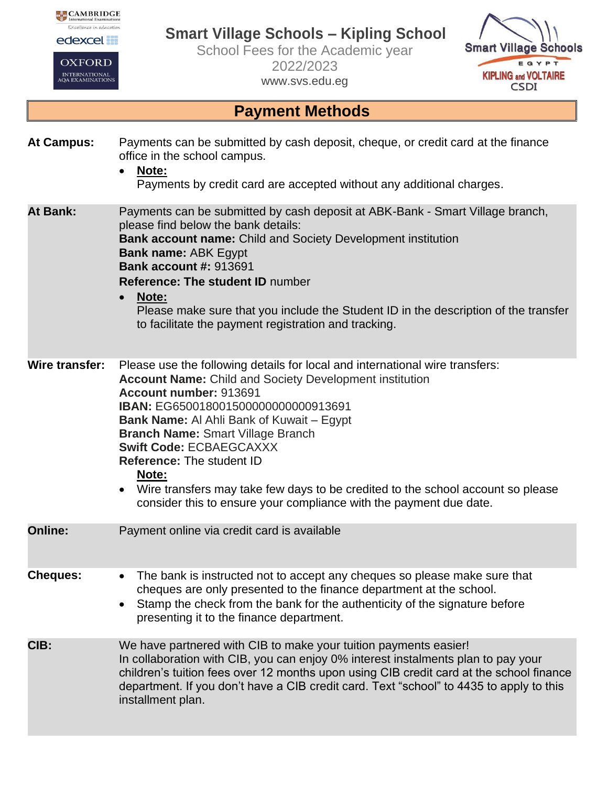| <b>CAMBRIDGE</b><br>International Examinations                                            |                                                                                                                                                                                                                                                                                                                                                                                                                                                                                                                                                                       |
|-------------------------------------------------------------------------------------------|-----------------------------------------------------------------------------------------------------------------------------------------------------------------------------------------------------------------------------------------------------------------------------------------------------------------------------------------------------------------------------------------------------------------------------------------------------------------------------------------------------------------------------------------------------------------------|
| Excellence in education<br>edexcel:<br><b>OXFORD</b><br>INTERNATIONAL<br>AQA EXAMINATIONS | <b>Smart Village Schools - Kipling School</b><br><b>Smart Village Schools</b><br>School Fees for the Academic year<br>EGYPT<br>2022/2023<br><b>KIPLING and VOLTAIRE</b><br>www.svs.edu.eg<br><b>CSDI</b>                                                                                                                                                                                                                                                                                                                                                              |
|                                                                                           | <b>Payment Methods</b>                                                                                                                                                                                                                                                                                                                                                                                                                                                                                                                                                |
| <b>At Campus:</b>                                                                         | Payments can be submitted by cash deposit, cheque, or credit card at the finance<br>office in the school campus.<br>Note:<br>$\bullet$<br>Payments by credit card are accepted without any additional charges.                                                                                                                                                                                                                                                                                                                                                        |
| <b>At Bank:</b>                                                                           | Payments can be submitted by cash deposit at ABK-Bank - Smart Village branch,<br>please find below the bank details:<br><b>Bank account name:</b> Child and Society Development institution<br><b>Bank name: ABK Egypt</b><br><b>Bank account #: 913691</b><br>Reference: The student ID number<br>Note:<br>Please make sure that you include the Student ID in the description of the transfer<br>to facilitate the payment registration and tracking.                                                                                                               |
| <b>Wire transfer:</b>                                                                     | Please use the following details for local and international wire transfers:<br><b>Account Name:</b> Child and Society Development institution<br>Account number: 913691<br>IBAN: EG6500180015000000000000913691<br><b>Bank Name:</b> Al Ahli Bank of Kuwait – Egypt<br><b>Branch Name: Smart Village Branch</b><br><b>Swift Code: ECBAEGCAXXX</b><br>Reference: The student ID<br><u>Note:</u><br>Wire transfers may take few days to be credited to the school account so please<br>$\bullet$<br>consider this to ensure your compliance with the payment due date. |
| <b>Online:</b>                                                                            | Payment online via credit card is available                                                                                                                                                                                                                                                                                                                                                                                                                                                                                                                           |
| <b>Cheques:</b>                                                                           | The bank is instructed not to accept any cheques so please make sure that<br>cheques are only presented to the finance department at the school.<br>Stamp the check from the bank for the authenticity of the signature before<br>$\bullet$<br>presenting it to the finance department.                                                                                                                                                                                                                                                                               |
| CIB:                                                                                      | We have partnered with CIB to make your tuition payments easier!<br>In collaboration with CIB, you can enjoy 0% interest instalments plan to pay your<br>children's tuition fees over 12 months upon using CIB credit card at the school finance<br>department. If you don't have a CIB credit card. Text "school" to 4435 to apply to this<br>installment plan.                                                                                                                                                                                                      |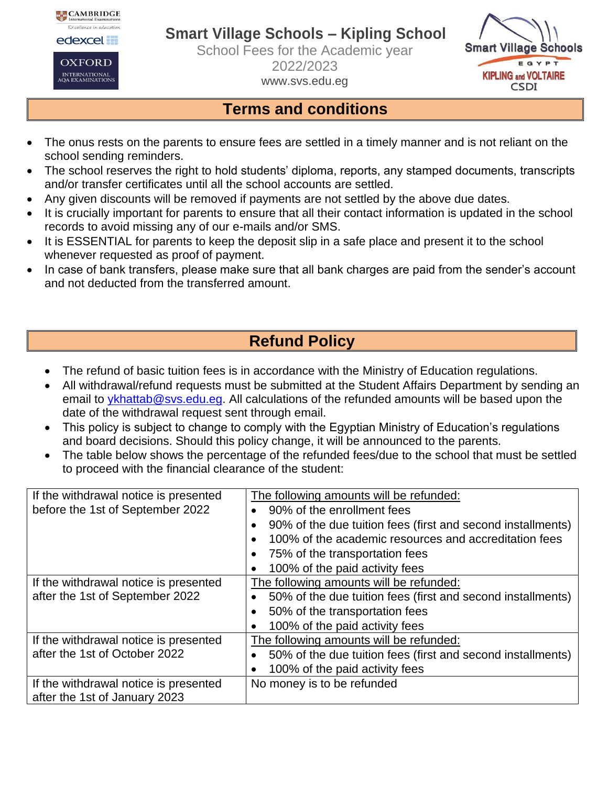

School Fees for the Academic year 2022/2023 [www.svs.edu.eg](http://www.svs.edu.eg/)



### **Terms and conditions**

- The onus rests on the parents to ensure fees are settled in a timely manner and is not reliant on the school sending reminders.
- The school reserves the right to hold students' diploma, reports, any stamped documents, transcripts and/or transfer certificates until all the school accounts are settled.
- Any given discounts will be removed if payments are not settled by the above due dates.
- It is crucially important for parents to ensure that all their contact information is updated in the school records to avoid missing any of our e-mails and/or SMS.
- It is ESSENTIAL for parents to keep the deposit slip in a safe place and present it to the school whenever requested as proof of payment.
- In case of bank transfers, please make sure that all bank charges are paid from the sender's account and not deducted from the transferred amount.

# **Refund Policy**

- The refund of basic tuition fees is in accordance with the Ministry of Education regulations.
- All withdrawal/refund requests must be submitted at the Student Affairs Department by sending an email to [ykhattab@svs.edu.eg.](mailto:ykhattab@svs.edu.eg) All calculations of the refunded amounts will be based upon the date of the withdrawal request sent through email.
- This policy is subject to change to comply with the Egyptian Ministry of Education's regulations and board decisions. Should this policy change, it will be announced to the parents.
- The table below shows the percentage of the refunded fees/due to the school that must be settled to proceed with the financial clearance of the student:

| If the withdrawal notice is presented<br>before the 1st of September 2022 | The following amounts will be refunded:<br>90% of the enrollment fees<br>90% of the due tuition fees (first and second installments)<br>100% of the academic resources and accreditation fees<br>$\bullet$<br>75% of the transportation fees<br>٠ |
|---------------------------------------------------------------------------|---------------------------------------------------------------------------------------------------------------------------------------------------------------------------------------------------------------------------------------------------|
|                                                                           | 100% of the paid activity fees                                                                                                                                                                                                                    |
| If the withdrawal notice is presented<br>after the 1st of September 2022  | The following amounts will be refunded:<br>50% of the due tuition fees (first and second installments)<br>50% of the transportation fees<br>100% of the paid activity fees                                                                        |
| If the withdrawal notice is presented<br>after the 1st of October 2022    | The following amounts will be refunded:<br>50% of the due tuition fees (first and second installments)<br>100% of the paid activity fees                                                                                                          |
| If the withdrawal notice is presented<br>after the 1st of January 2023    | No money is to be refunded                                                                                                                                                                                                                        |